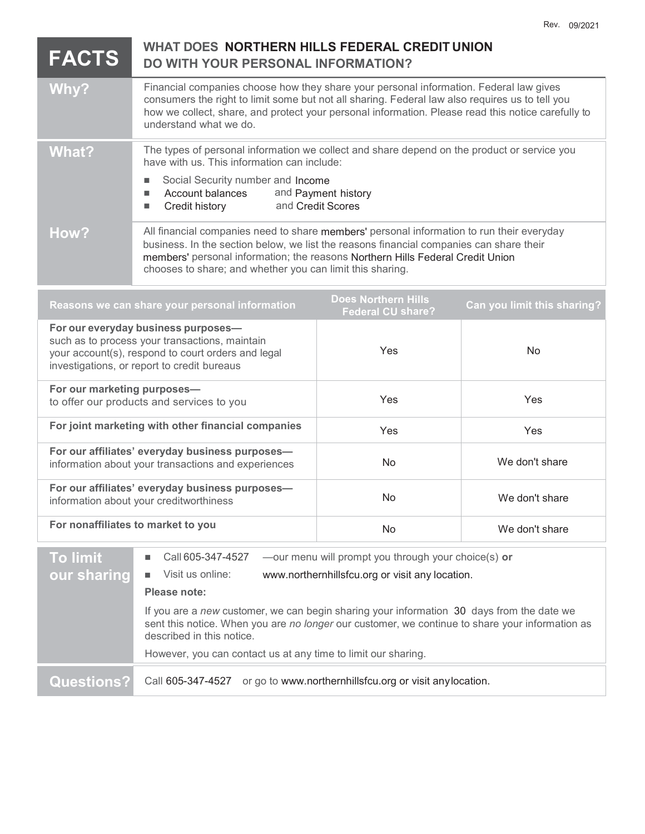|                                                                                                                                                                                            |                                                                                                                                                                                                                                                                                                                                                                                                                                                               |                                          | UJIZUZ I                    |
|--------------------------------------------------------------------------------------------------------------------------------------------------------------------------------------------|---------------------------------------------------------------------------------------------------------------------------------------------------------------------------------------------------------------------------------------------------------------------------------------------------------------------------------------------------------------------------------------------------------------------------------------------------------------|------------------------------------------|-----------------------------|
| <b>FACTS</b>                                                                                                                                                                               | WHAT DOES NORTHERN HILLS FEDERAL CREDIT UNION<br>DO WITH YOUR PERSONAL INFORMATION?                                                                                                                                                                                                                                                                                                                                                                           |                                          |                             |
| Why?                                                                                                                                                                                       | Financial companies choose how they share your personal information. Federal law gives<br>consumers the right to limit some but not all sharing. Federal law also requires us to tell you<br>how we collect, share, and protect your personal information. Please read this notice carefully to<br>understand what we do.                                                                                                                                     |                                          |                             |
| <b>What?</b>                                                                                                                                                                               | The types of personal information we collect and share depend on the product or service you<br>have with us. This information can include:                                                                                                                                                                                                                                                                                                                    |                                          |                             |
|                                                                                                                                                                                            | Social Security number and Income<br>L.<br>Account balances<br>$\blacksquare$<br>Credit history<br>$\Box$                                                                                                                                                                                                                                                                                                                                                     | and Payment history<br>and Credit Scores |                             |
| How?                                                                                                                                                                                       | All financial companies need to share members' personal information to run their everyday<br>business. In the section below, we list the reasons financial companies can share their<br>members' personal information; the reasons Northern Hills Federal Credit Union<br>chooses to share; and whether you can limit this sharing.                                                                                                                           |                                          |                             |
| <b>Does Northern Hills</b><br>Reasons we can share your personal information<br><b>Federal CU share?</b>                                                                                   |                                                                                                                                                                                                                                                                                                                                                                                                                                                               |                                          | Can you limit this sharing? |
| For our everyday business purposes-<br>such as to process your transactions, maintain<br>your account(s), respond to court orders and legal<br>investigations, or report to credit bureaus |                                                                                                                                                                                                                                                                                                                                                                                                                                                               | Yes                                      | No                          |
| For our marketing purposes-<br>to offer our products and services to you                                                                                                                   |                                                                                                                                                                                                                                                                                                                                                                                                                                                               | Yes                                      | Yes                         |
| For joint marketing with other financial companies                                                                                                                                         |                                                                                                                                                                                                                                                                                                                                                                                                                                                               | Yes                                      | Yes                         |
| For our affiliates' everyday business purposes-<br>information about your transactions and experiences                                                                                     |                                                                                                                                                                                                                                                                                                                                                                                                                                                               | No                                       | We don't share              |
| For our affiliates' everyday business purposes-<br>information about your creditworthiness                                                                                                 |                                                                                                                                                                                                                                                                                                                                                                                                                                                               | No.                                      | We don't share              |
| For nonaffiliates to market to you                                                                                                                                                         |                                                                                                                                                                                                                                                                                                                                                                                                                                                               | No                                       | We don't share              |
| <b>To limit</b><br>our sharing                                                                                                                                                             | -our menu will prompt you through your choice(s) or<br>Call 605-347-4527<br>Visit us online:<br>www.northernhillsfcu.org or visit any location.<br>Please note:<br>If you are a new customer, we can begin sharing your information 30 days from the date we<br>sent this notice. When you are no longer our customer, we continue to share your information as<br>described in this notice.<br>However, you can contact us at any time to limit our sharing. |                                          |                             |
| <b>Questions?</b>                                                                                                                                                                          | or go to www.northernhillsfcu.org or visit any location.<br>Call 605-347-4527                                                                                                                                                                                                                                                                                                                                                                                 |                                          |                             |